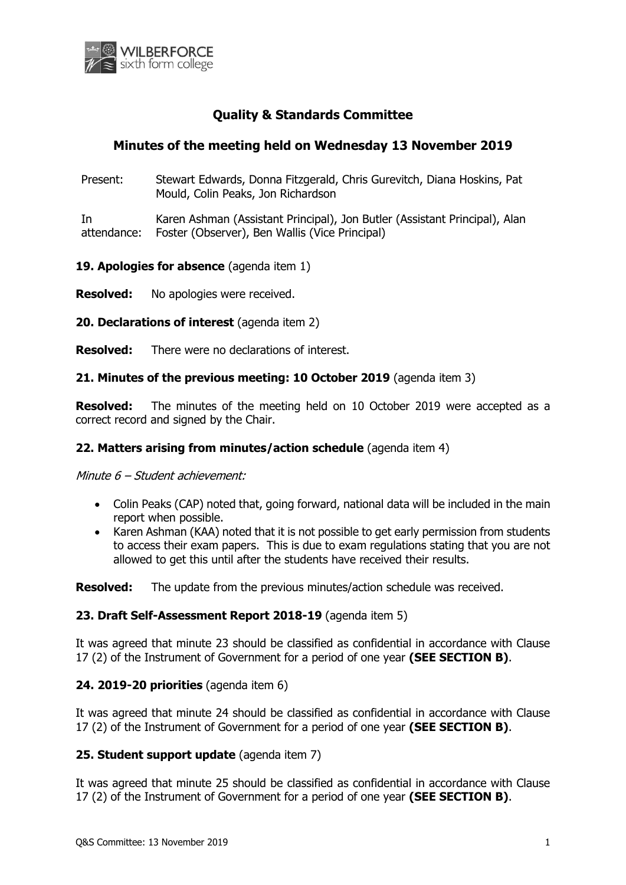

# **Quality & Standards Committee**

## **Minutes of the meeting held on Wednesday 13 November 2019**

Present: Stewart Edwards, Donna Fitzgerald, Chris Gurevitch, Diana Hoskins, Pat Mould, Colin Peaks, Jon Richardson

In attendance: Karen Ashman (Assistant Principal), Jon Butler (Assistant Principal), Alan Foster (Observer), Ben Wallis (Vice Principal)

19. Apologies for absence (agenda item 1)

**Resolved:** No apologies were received.

**20. Declarations of interest** (agenda item 2)

**Resolved:** There were no declarations of interest.

#### **21. Minutes of the previous meeting: 10 October 2019** (agenda item 3)

**Resolved:** The minutes of the meeting held on 10 October 2019 were accepted as a correct record and signed by the Chair.

#### **22. Matters arising from minutes/action schedule** (agenda item 4)

Minute 6 – Student achievement:

- Colin Peaks (CAP) noted that, going forward, national data will be included in the main report when possible.
- Karen Ashman (KAA) noted that it is not possible to get early permission from students to access their exam papers. This is due to exam regulations stating that you are not allowed to get this until after the students have received their results.

**Resolved:** The update from the previous minutes/action schedule was received.

#### **23. Draft Self-Assessment Report 2018-19** (agenda item 5)

It was agreed that minute 23 should be classified as confidential in accordance with Clause 17 (2) of the Instrument of Government for a period of one year **(SEE SECTION B)**.

#### **24. 2019-20 priorities** (agenda item 6)

It was agreed that minute 24 should be classified as confidential in accordance with Clause 17 (2) of the Instrument of Government for a period of one year **(SEE SECTION B)**.

#### **25. Student support update** (agenda item 7)

It was agreed that minute 25 should be classified as confidential in accordance with Clause 17 (2) of the Instrument of Government for a period of one year **(SEE SECTION B)**.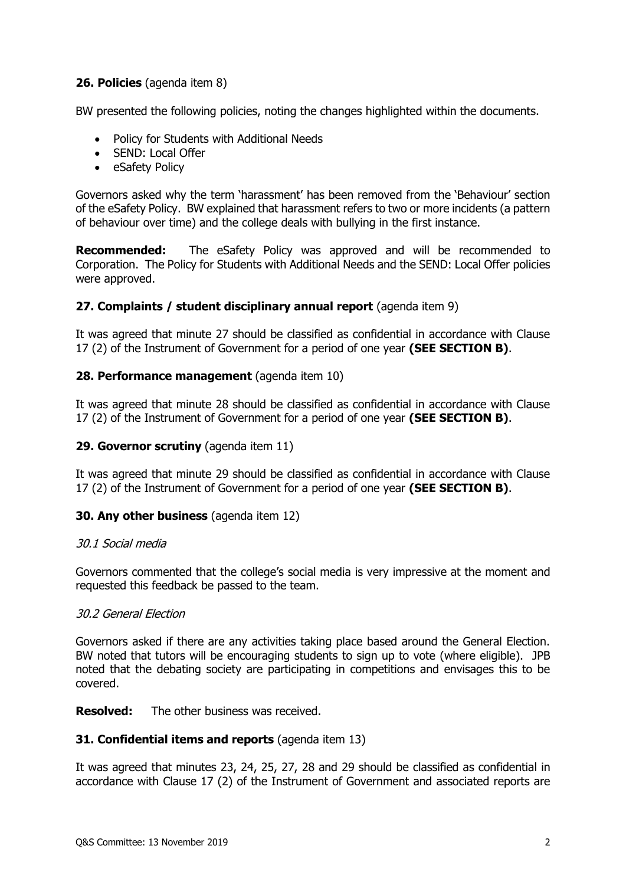## **26. Policies** (agenda item 8)

BW presented the following policies, noting the changes highlighted within the documents.

- Policy for Students with Additional Needs
- SEND: Local Offer
- eSafety Policy

Governors asked why the term 'harassment' has been removed from the 'Behaviour' section of the eSafety Policy. BW explained that harassment refers to two or more incidents (a pattern of behaviour over time) and the college deals with bullying in the first instance.

**Recommended:** The eSafety Policy was approved and will be recommended to Corporation. The Policy for Students with Additional Needs and the SEND: Local Offer policies were approved.

## **27. Complaints / student disciplinary annual report** (agenda item 9)

It was agreed that minute 27 should be classified as confidential in accordance with Clause 17 (2) of the Instrument of Government for a period of one year **(SEE SECTION B)**.

#### **28. Performance management** (agenda item 10)

It was agreed that minute 28 should be classified as confidential in accordance with Clause 17 (2) of the Instrument of Government for a period of one year **(SEE SECTION B)**.

#### **29. Governor scrutiny** (agenda item 11)

It was agreed that minute 29 should be classified as confidential in accordance with Clause 17 (2) of the Instrument of Government for a period of one year **(SEE SECTION B)**.

#### **30. Any other business** (agenda item 12)

#### 30.1 Social media

Governors commented that the college's social media is very impressive at the moment and requested this feedback be passed to the team.

#### 30.2 General Election

Governors asked if there are any activities taking place based around the General Election. BW noted that tutors will be encouraging students to sign up to vote (where eligible). JPB noted that the debating society are participating in competitions and envisages this to be covered.

#### **Resolved:** The other business was received.

#### **31. Confidential items and reports** (agenda item 13)

It was agreed that minutes 23, 24, 25, 27, 28 and 29 should be classified as confidential in accordance with Clause 17 (2) of the Instrument of Government and associated reports are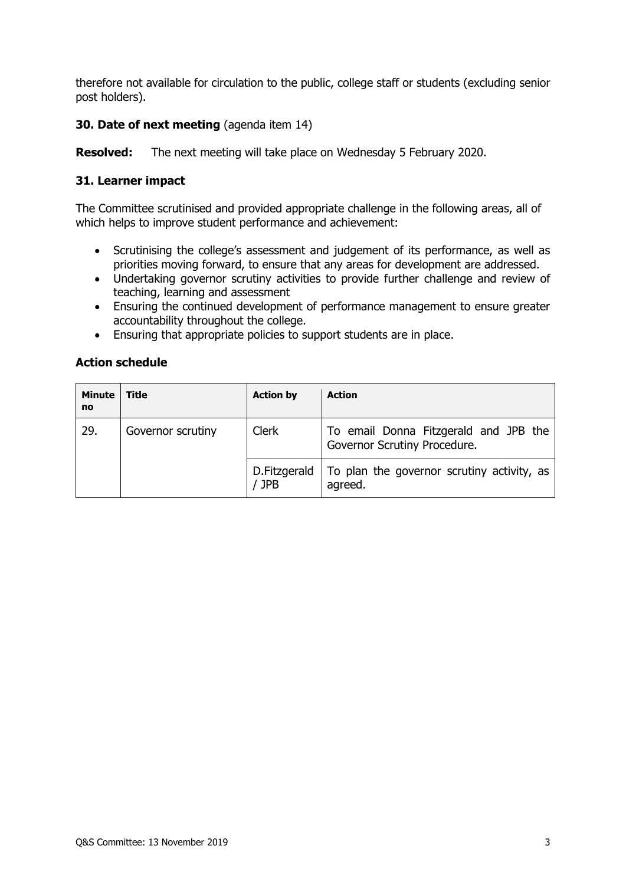therefore not available for circulation to the public, college staff or students (excluding senior post holders).

## **30. Date of next meeting** (agenda item 14)

**Resolved:** The next meeting will take place on Wednesday 5 February 2020.

## **31. Learner impact**

The Committee scrutinised and provided appropriate challenge in the following areas, all of which helps to improve student performance and achievement:

- Scrutinising the college's assessment and judgement of its performance, as well as priorities moving forward, to ensure that any areas for development are addressed.
- Undertaking governor scrutiny activities to provide further challenge and review of teaching, learning and assessment
- Ensuring the continued development of performance management to ensure greater accountability throughout the college.
- Ensuring that appropriate policies to support students are in place.

#### **Action schedule**

| <b>Minute</b><br>no | <b>Title</b>      | <b>Action by</b>           | <b>Action</b>                                                         |
|---------------------|-------------------|----------------------------|-----------------------------------------------------------------------|
| 29.                 | Governor scrutiny | <b>Clerk</b>               | To email Donna Fitzgerald and JPB the<br>Governor Scrutiny Procedure. |
|                     |                   | D.Fitzgerald<br><b>JPB</b> | To plan the governor scrutiny activity, as<br>agreed.                 |